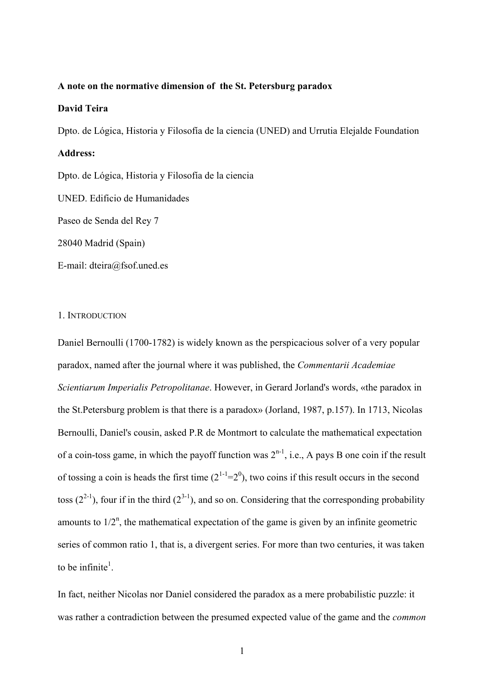# **A note on the normative dimension of the St. Petersburg paradox**

# **David Teira**

Dpto. de Lógica, Historia y Filosofía de la ciencia (UNED) and Urrutia Elejalde Foundation

## **Address:**

Dpto. de Lógica, Historia y Filosofía de la ciencia

UNED. Edificio de Humanidades

Paseo de Senda del Rey 7

28040 Madrid (Spain)

E-mail: dteira@fsof.uned.es

### 1. INTRODUCTION

Daniel Bernoulli (1700-1782) is widely known as the perspicacious solver of a very popular paradox, named after the journal where it was published, the *Commentarii Academiae Scientiarum Imperialis Petropolitanae*. However, in Gerard Jorland's words, «the paradox in the St.Petersburg problem is that there is a paradox» (Jorland, 1987, p.157). In 1713, Nicolas Bernoulli, Daniel's cousin, asked P.R de Montmort to calculate the mathematical expectation of a coin-toss game, in which the payoff function was  $2^{n-1}$ , i.e., A pays B one coin if the result of tossing a coin is heads the first time  $(2^{1-1}=2^0)$ , two coins if this result occurs in the second toss  $(2^{2-1})$ , four if in the third  $(2^{3-1})$ , and so on. Considering that the corresponding probability amounts to  $1/2^n$ , the mathematical expectation of the game is given by an infinite geometric series of common ratio 1, that is, a divergent series. For more than two centuries, it was taken to be infinite<sup>1</sup>.

In fact, neither Nicolas nor Daniel considered the paradox as a mere probabilistic puzzle: it was rather a contradiction between the presumed expected value of the game and the *common*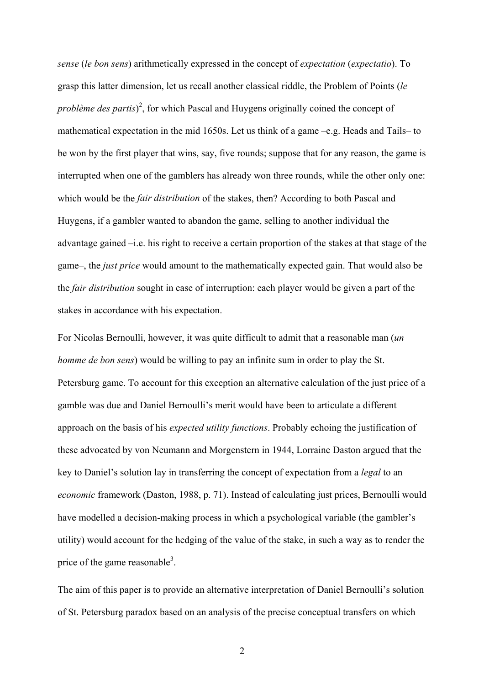*sense* (*le bon sens*) arithmetically expressed in the concept of *expectation* (*expectatio*). To grasp this latter dimension, let us recall another classical riddle, the Problem of Points (*le problème des partis*<sup>2</sup>, for which Pascal and Huygens originally coined the concept of mathematical expectation in the mid 1650s. Let us think of a game –e.g. Heads and Tails– to be won by the first player that wins, say, five rounds; suppose that for any reason, the game is interrupted when one of the gamblers has already won three rounds, while the other only one: which would be the *fair distribution* of the stakes, then? According to both Pascal and Huygens, if a gambler wanted to abandon the game, selling to another individual the advantage gained –i.e. his right to receive a certain proportion of the stakes at that stage of the game–, the *just price* would amount to the mathematically expected gain. That would also be the *fair distribution* sought in case of interruption: each player would be given a part of the stakes in accordance with his expectation.

For Nicolas Bernoulli, however, it was quite difficult to admit that a reasonable man (*un homme de bon sens*) would be willing to pay an infinite sum in order to play the St. Petersburg game. To account for this exception an alternative calculation of the just price of a gamble was due and Daniel Bernoulli's merit would have been to articulate a different approach on the basis of his *expected utility functions*. Probably echoing the justification of these advocated by von Neumann and Morgenstern in 1944, Lorraine Daston argued that the key to Daniel's solution lay in transferring the concept of expectation from a *legal* to an *economic* framework (Daston, 1988, p. 71). Instead of calculating just prices, Bernoulli would have modelled a decision-making process in which a psychological variable (the gambler's utility) would account for the hedging of the value of the stake, in such a way as to render the price of the game reasonable<sup>3</sup>.

The aim of this paper is to provide an alternative interpretation of Daniel Bernoulli's solution of St. Petersburg paradox based on an analysis of the precise conceptual transfers on which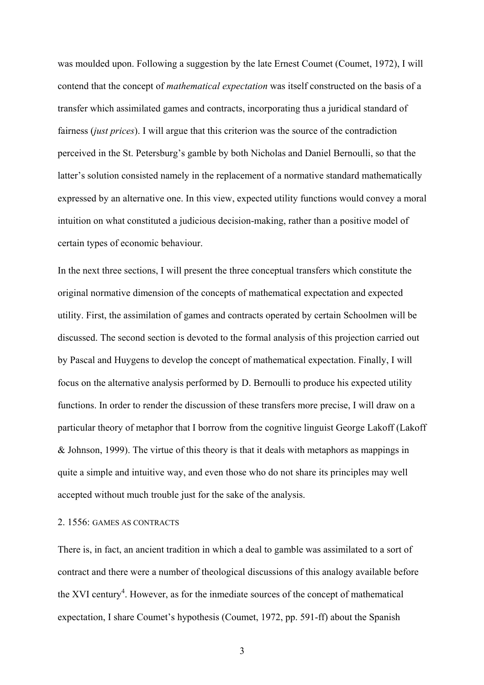was moulded upon. Following a suggestion by the late Ernest Coumet (Coumet, 1972), I will contend that the concept of *mathematical expectation* was itself constructed on the basis of a transfer which assimilated games and contracts, incorporating thus a juridical standard of fairness (*just prices*). I will argue that this criterion was the source of the contradiction perceived in the St. Petersburg's gamble by both Nicholas and Daniel Bernoulli, so that the latter's solution consisted namely in the replacement of a normative standard mathematically expressed by an alternative one. In this view, expected utility functions would convey a moral intuition on what constituted a judicious decision-making, rather than a positive model of certain types of economic behaviour.

In the next three sections, I will present the three conceptual transfers which constitute the original normative dimension of the concepts of mathematical expectation and expected utility. First, the assimilation of games and contracts operated by certain Schoolmen will be discussed. The second section is devoted to the formal analysis of this projection carried out by Pascal and Huygens to develop the concept of mathematical expectation. Finally, I will focus on the alternative analysis performed by D. Bernoulli to produce his expected utility functions. In order to render the discussion of these transfers more precise, I will draw on a particular theory of metaphor that I borrow from the cognitive linguist George Lakoff (Lakoff & Johnson, 1999). The virtue of this theory is that it deals with metaphors as mappings in quite a simple and intuitive way, and even those who do not share its principles may well accepted without much trouble just for the sake of the analysis.

# 2. 1556: GAMES AS CONTRACTS

There is, in fact, an ancient tradition in which a deal to gamble was assimilated to a sort of contract and there were a number of theological discussions of this analogy available before the XVI century<sup>4</sup>. However, as for the inmediate sources of the concept of mathematical expectation, I share Coumet's hypothesis (Coumet, 1972, pp. 591-ff) about the Spanish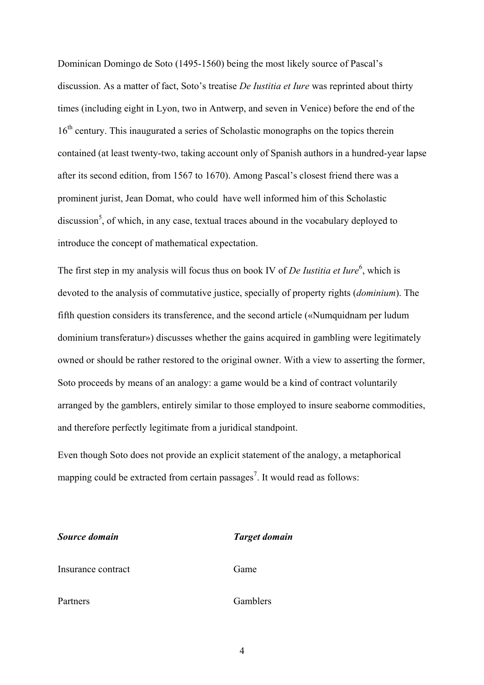Dominican Domingo de Soto (1495-1560) being the most likely source of Pascal's discussion. As a matter of fact, Soto's treatise *De Iustitia et Iure* was reprinted about thirty times (including eight in Lyon, two in Antwerp, and seven in Venice) before the end of the 16<sup>th</sup> century. This inaugurated a series of Scholastic monographs on the topics therein contained (at least twenty-two, taking account only of Spanish authors in a hundred-year lapse after its second edition, from 1567 to 1670). Among Pascal's closest friend there was a prominent jurist, Jean Domat, who could have well informed him of this Scholastic discussion<sup>5</sup>, of which, in any case, textual traces abound in the vocabulary deployed to introduce the concept of mathematical expectation.

The first step in my analysis will focus thus on book IV of *De Iustitia et Iure*<sup>6</sup>, which is devoted to the analysis of commutative justice, specially of property rights (*dominium*). The fifth question considers its transference, and the second article («Numquidnam per ludum dominium transferatur») discusses whether the gains acquired in gambling were legitimately owned or should be rather restored to the original owner. With a view to asserting the former, Soto proceeds by means of an analogy: a game would be a kind of contract voluntarily arranged by the gamblers, entirely similar to those employed to insure seaborne commodities, and therefore perfectly legitimate from a juridical standpoint.

Even though Soto does not provide an explicit statement of the analogy, a metaphorical mapping could be extracted from certain passages<sup>7</sup>. It would read as follows:

| Source domain      | <b>Target domain</b> |
|--------------------|----------------------|
| Insurance contract | Game                 |
| Partners           | Gamblers             |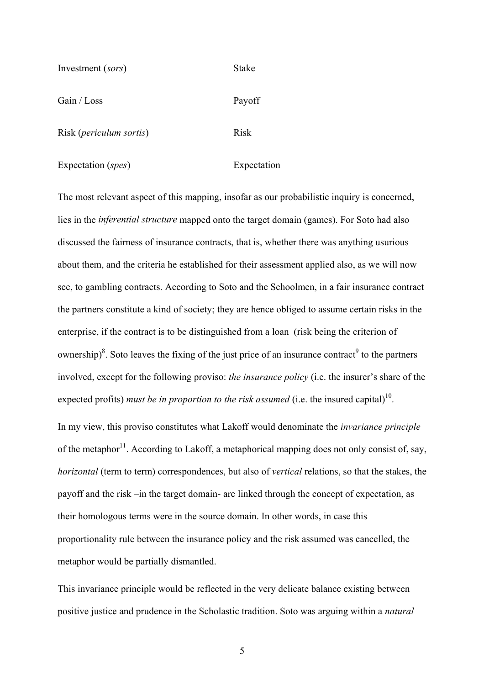| Investment (sors)                | <b>Stake</b> |
|----------------------------------|--------------|
| Gain / Loss                      | Payoff       |
| Risk ( <i>periculum sortis</i> ) | <b>Risk</b>  |

Expectation (*spes*) Expectation

The most relevant aspect of this mapping, insofar as our probabilistic inquiry is concerned, lies in the *inferential structure* mapped onto the target domain (games). For Soto had also discussed the fairness of insurance contracts, that is, whether there was anything usurious about them, and the criteria he established for their assessment applied also, as we will now see, to gambling contracts. According to Soto and the Schoolmen, in a fair insurance contract the partners constitute a kind of society; they are hence obliged to assume certain risks in the enterprise, if the contract is to be distinguished from a loan (risk being the criterion of ownership)<sup>8</sup>. Soto leaves the fixing of the just price of an insurance contract<sup>9</sup> to the partners involved, except for the following proviso: *the insurance policy* (i.e. the insurer's share of the expected profits) *must be in proportion to the risk assumed* (i.e. the insured capital)<sup>10</sup>.

In my view, this proviso constitutes what Lakoff would denominate the *invariance principle* of the metaphor<sup>11</sup>. According to Lakoff, a metaphorical mapping does not only consist of, say, *horizontal* (term to term) correspondences, but also of *vertical* relations, so that the stakes, the payoff and the risk –in the target domain- are linked through the concept of expectation, as their homologous terms were in the source domain. In other words, in case this proportionality rule between the insurance policy and the risk assumed was cancelled, the metaphor would be partially dismantled.

This invariance principle would be reflected in the very delicate balance existing between positive justice and prudence in the Scholastic tradition. Soto was arguing within a *natural*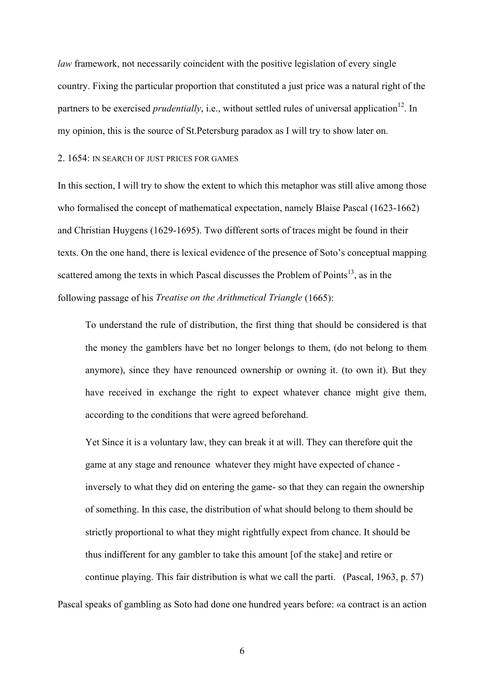*law* framework, not necessarily coincident with the positive legislation of every single country. Fixing the particular proportion that constituted a just price was a natural right of the partners to be exercised *prudentially*, i.e., without settled rules of universal application<sup>12</sup>. In my opinion, this is the source of St.Petersburg paradox as I will try to show later on.

# 2. 1654: IN SEARCH OF JUST PRICES FOR GAMES

In this section, I will try to show the extent to which this metaphor was still alive among those who formalised the concept of mathematical expectation, namely Blaise Pascal (1623-1662) and Christian Huygens (1629-1695). Two different sorts of traces might be found in their texts. On the one hand, there is lexical evidence of the presence of Soto's conceptual mapping scattered among the texts in which Pascal discusses the Problem of Points<sup>13</sup>, as in the following passage of his *Treatise on the Arithmetical Triangle* (1665):

To understand the rule of distribution, the first thing that should be considered is that the money the gamblers have bet no longer belongs to them, (do not belong to them anymore), since they have renounced ownership or owning it. (to own it). But they have received in exchange the right to expect whatever chance might give them, according to the conditions that were agreed beforehand.

Yet Since it is a voluntary law, they can break it at will. They can therefore quit the game at any stage and renounce whatever they might have expected of chance inversely to what they did on entering the game- so that they can regain the ownership of something. In this case, the distribution of what should belong to them should be strictly proportional to what they might rightfully expect from chance. It should be thus indifferent for any gambler to take this amount [of the stake] and retire or continue playing. This fair distribution is what we call the parti. (Pascal, 1963, p. 57)

Pascal speaks of gambling as Soto had done one hundred years before: «a contract is an action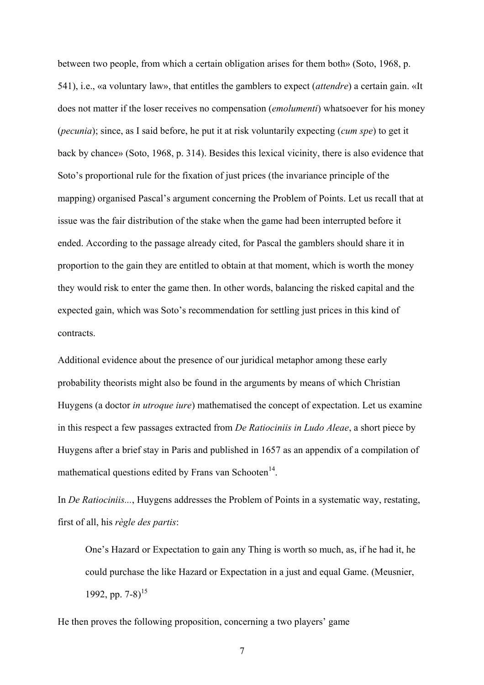between two people, from which a certain obligation arises for them both» (Soto, 1968, p. 541), i.e., «a voluntary law», that entitles the gamblers to expect (*attendre*) a certain gain. «It does not matter if the loser receives no compensation (*emolumenti*) whatsoever for his money (*pecunia*); since, as I said before, he put it at risk voluntarily expecting (*cum spe*) to get it back by chance» (Soto, 1968, p. 314). Besides this lexical vicinity, there is also evidence that Soto's proportional rule for the fixation of just prices (the invariance principle of the mapping) organised Pascal's argument concerning the Problem of Points. Let us recall that at issue was the fair distribution of the stake when the game had been interrupted before it ended. According to the passage already cited, for Pascal the gamblers should share it in proportion to the gain they are entitled to obtain at that moment, which is worth the money they would risk to enter the game then. In other words, balancing the risked capital and the expected gain, which was Soto's recommendation for settling just prices in this kind of contracts.

Additional evidence about the presence of our juridical metaphor among these early probability theorists might also be found in the arguments by means of which Christian Huygens (a doctor *in utroque iure*) mathematised the concept of expectation. Let us examine in this respect a few passages extracted from *De Ratiociniis in Ludo Aleae*, a short piece by Huygens after a brief stay in Paris and published in 1657 as an appendix of a compilation of mathematical questions edited by Frans van Schooten $^{14}$ .

In *De Ratiociniis...*, Huygens addresses the Problem of Points in a systematic way, restating, first of all, his *règle des partis*:

One's Hazard or Expectation to gain any Thing is worth so much, as, if he had it, he could purchase the like Hazard or Expectation in a just and equal Game. (Meusnier, 1992, pp.  $7-8$ <sup>15</sup>

He then proves the following proposition, concerning a two players' game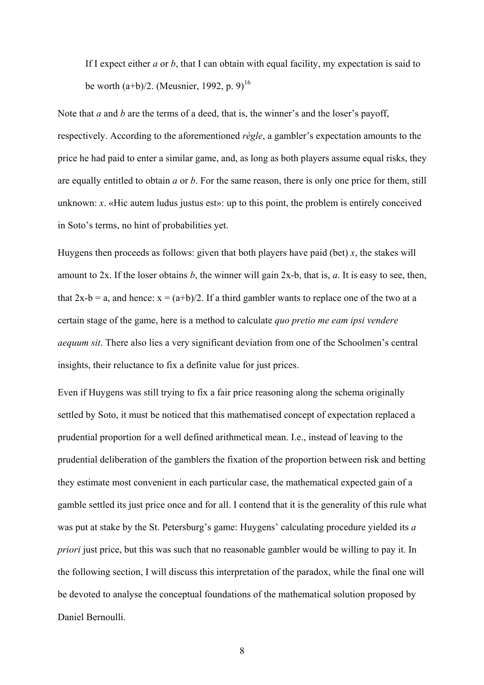If I expect either *a* or *b*, that I can obtain with equal facility, my expectation is said to be worth  $(a+b)/2$ . (Meusnier, 1992, p. 9)<sup>16</sup>

Note that *a* and *b* are the terms of a deed, that is, the winner's and the loser's payoff, respectively. According to the aforementioned *règle*, a gambler's expectation amounts to the price he had paid to enter a similar game, and, as long as both players assume equal risks, they are equally entitled to obtain *a* or *b*. For the same reason, there is only one price for them, still unknown: *x*. «Hic autem ludus justus est»: up to this point, the problem is entirely conceived in Soto's terms, no hint of probabilities yet.

Huygens then proceeds as follows: given that both players have paid (bet)  $x$ , the stakes will amount to 2x. If the loser obtains *b*, the winner will gain 2x-b, that is, *a*. It is easy to see, then, that  $2x-b = a$ , and hence:  $x = (a+b)/2$ . If a third gambler wants to replace one of the two at a certain stage of the game, here is a method to calculate *quo pretio me eam ipsi vendere aequum sit*. There also lies a very significant deviation from one of the Schoolmen's central insights, their reluctance to fix a definite value for just prices.

Even if Huygens was still trying to fix a fair price reasoning along the schema originally settled by Soto, it must be noticed that this mathematised concept of expectation replaced a prudential proportion for a well defined arithmetical mean. I.e., instead of leaving to the prudential deliberation of the gamblers the fixation of the proportion between risk and betting they estimate most convenient in each particular case, the mathematical expected gain of a gamble settled its just price once and for all. I contend that it is the generality of this rule what was put at stake by the St. Petersburg's game: Huygens' calculating procedure yielded its *a priori* just price, but this was such that no reasonable gambler would be willing to pay it. In the following section, I will discuss this interpretation of the paradox, while the final one will be devoted to analyse the conceptual foundations of the mathematical solution proposed by Daniel Bernoulli.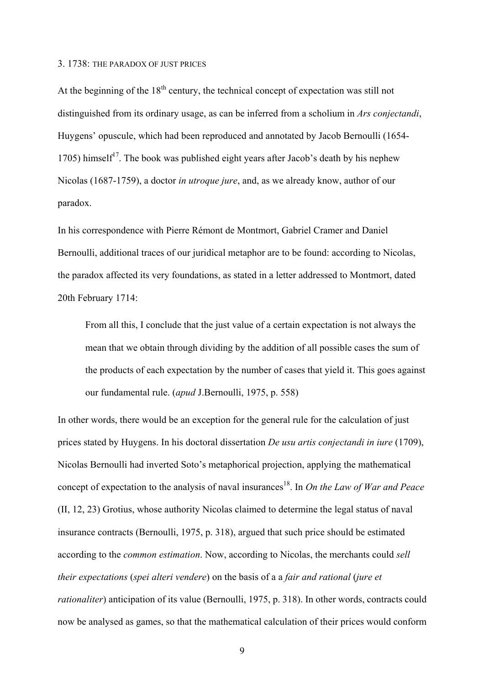#### 3. 1738: THE PARADOX OF JUST PRICES

At the beginning of the  $18<sup>th</sup>$  century, the technical concept of expectation was still not distinguished from its ordinary usage, as can be inferred from a scholium in *Ars conjectandi*, Huygens' opuscule, which had been reproduced and annotated by Jacob Bernoulli (1654- 1705) himself<sup>17</sup>. The book was published eight years after Jacob's death by his nephew Nicolas (1687-1759), a doctor *in utroque jure*, and, as we already know, author of our paradox.

In his correspondence with Pierre Rémont de Montmort, Gabriel Cramer and Daniel Bernoulli, additional traces of our juridical metaphor are to be found: according to Nicolas, the paradox affected its very foundations, as stated in a letter addressed to Montmort, dated 20th February 1714:

From all this, I conclude that the just value of a certain expectation is not always the mean that we obtain through dividing by the addition of all possible cases the sum of the products of each expectation by the number of cases that yield it. This goes against our fundamental rule. (*apud* J.Bernoulli, 1975, p. 558)

In other words, there would be an exception for the general rule for the calculation of just prices stated by Huygens. In his doctoral dissertation *De usu artis conjectandi in iure* (1709), Nicolas Bernoulli had inverted Soto's metaphorical projection, applying the mathematical concept of expectation to the analysis of naval insurances<sup>18</sup>. In *On the Law of War and Peace* (II, 12, 23) Grotius, whose authority Nicolas claimed to determine the legal status of naval insurance contracts (Bernoulli, 1975, p. 318), argued that such price should be estimated according to the *common estimation*. Now, according to Nicolas, the merchants could *sell their expectations* (*spei alteri vendere*) on the basis of a a *fair and rational* (*jure et rationaliter*) anticipation of its value (Bernoulli, 1975, p. 318). In other words, contracts could now be analysed as games, so that the mathematical calculation of their prices would conform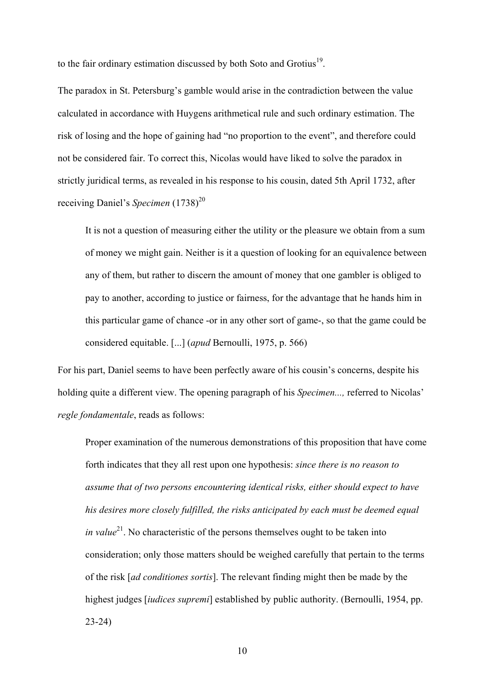to the fair ordinary estimation discussed by both Soto and Grotius<sup>19</sup>.

The paradox in St. Petersburg's gamble would arise in the contradiction between the value calculated in accordance with Huygens arithmetical rule and such ordinary estimation. The risk of losing and the hope of gaining had "no proportion to the event", and therefore could not be considered fair. To correct this, Nicolas would have liked to solve the paradox in strictly juridical terms, as revealed in his response to his cousin, dated 5th April 1732, after receiving Daniel's *Specimen* (1738)<sup>20</sup>

It is not a question of measuring either the utility or the pleasure we obtain from a sum of money we might gain. Neither is it a question of looking for an equivalence between any of them, but rather to discern the amount of money that one gambler is obliged to pay to another, according to justice or fairness, for the advantage that he hands him in this particular game of chance -or in any other sort of game-, so that the game could be considered equitable. [...] (*apud* Bernoulli, 1975, p. 566)

For his part, Daniel seems to have been perfectly aware of his cousin's concerns, despite his holding quite a different view. The opening paragraph of his *Specimen...,* referred to Nicolas' *regle fondamentale*, reads as follows:

Proper examination of the numerous demonstrations of this proposition that have come forth indicates that they all rest upon one hypothesis: *since there is no reason to assume that of two persons encountering identical risks, either should expect to have his desires more closely fulfilled, the risks anticipated by each must be deemed equal in value*<sup>21</sup>. No characteristic of the persons themselves ought to be taken into consideration; only those matters should be weighed carefully that pertain to the terms of the risk [*ad conditiones sortis*]. The relevant finding might then be made by the highest judges [*iudices supremi*] established by public authority. (Bernoulli, 1954, pp. 23-24)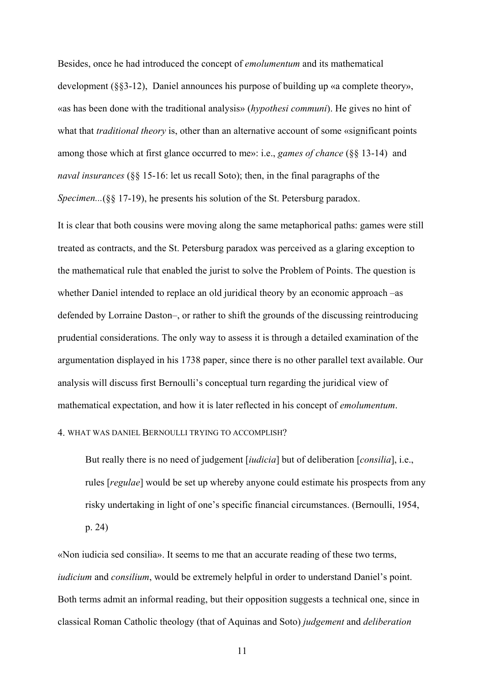Besides, once he had introduced the concept of *emolumentum* and its mathematical development (§§3-12), Daniel announces his purpose of building up «a complete theory», «as has been done with the traditional analysis» (*hypothesi communi*). He gives no hint of what that *traditional theory* is, other than an alternative account of some «significant points among those which at first glance occurred to me»: i.e., *games of chance* (§§ 13-14) and *naval insurances* (§§ 15-16: let us recall Soto); then, in the final paragraphs of the *Specimen...*(§§ 17-19), he presents his solution of the St. Petersburg paradox.

It is clear that both cousins were moving along the same metaphorical paths: games were still treated as contracts, and the St. Petersburg paradox was perceived as a glaring exception to the mathematical rule that enabled the jurist to solve the Problem of Points. The question is whether Daniel intended to replace an old juridical theory by an economic approach –as defended by Lorraine Daston–, or rather to shift the grounds of the discussing reintroducing prudential considerations. The only way to assess it is through a detailed examination of the argumentation displayed in his 1738 paper, since there is no other parallel text available. Our analysis will discuss first Bernoulli's conceptual turn regarding the juridical view of mathematical expectation, and how it is later reflected in his concept of *emolumentum*.

# 4. WHAT WAS DANIEL BERNOULLI TRYING TO ACCOMPLISH?

But really there is no need of judgement [*iudicia*] but of deliberation [*consilia*], i.e., rules [*regulae*] would be set up whereby anyone could estimate his prospects from any risky undertaking in light of one's specific financial circumstances. (Bernoulli, 1954, p. 24)

«Non iudicia sed consilia». It seems to me that an accurate reading of these two terms, *iudicium* and *consilium*, would be extremely helpful in order to understand Daniel's point. Both terms admit an informal reading, but their opposition suggests a technical one, since in classical Roman Catholic theology (that of Aquinas and Soto) *judgement* and *deliberation*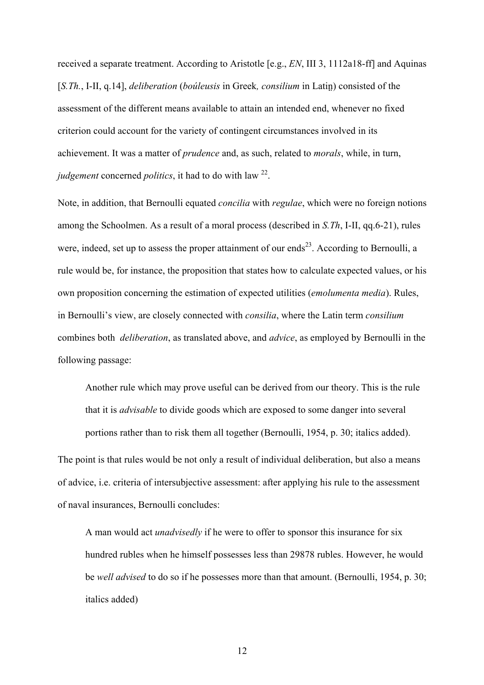received a separate treatment. According to Aristotle [e.g., *EN*, III 3, 1112a18-ff] and Aquinas [*S.Th.*, I-II, q.14], *deliberation* (*boúleusis* in Greek*, consilium* in Latin) consisted of the assessment of the different means available to attain an intended end, whenever no fixed criterion could account for the variety of contingent circumstances involved in its achievement. It was a matter of *prudence* and, as such, related to *morals*, while, in turn, *judgement* concerned *politics*, it had to do with law 22.

Note, in addition, that Bernoulli equated *concilia* with *regulae*, which were no foreign notions among the Schoolmen. As a result of a moral process (described in *S.Th*, I-II, qq.6-21), rules were, indeed, set up to assess the proper attainment of our ends<sup>23</sup>. According to Bernoulli, a rule would be, for instance, the proposition that states how to calculate expected values, or his own proposition concerning the estimation of expected utilities (*emolumenta media*). Rules, in Bernoulli's view, are closely connected with *consilia*, where the Latin term *consilium*  combines both *deliberation*, as translated above, and *advice*, as employed by Bernoulli in the following passage:

Another rule which may prove useful can be derived from our theory. This is the rule that it is *advisable* to divide goods which are exposed to some danger into several portions rather than to risk them all together (Bernoulli, 1954, p. 30; italics added).

The point is that rules would be not only a result of individual deliberation, but also a means of advice, i.e. criteria of intersubjective assessment: after applying his rule to the assessment of naval insurances, Bernoulli concludes:

A man would act *unadvisedly* if he were to offer to sponsor this insurance for six hundred rubles when he himself possesses less than 29878 rubles. However, he would be *well advised* to do so if he possesses more than that amount. (Bernoulli, 1954, p. 30; italics added)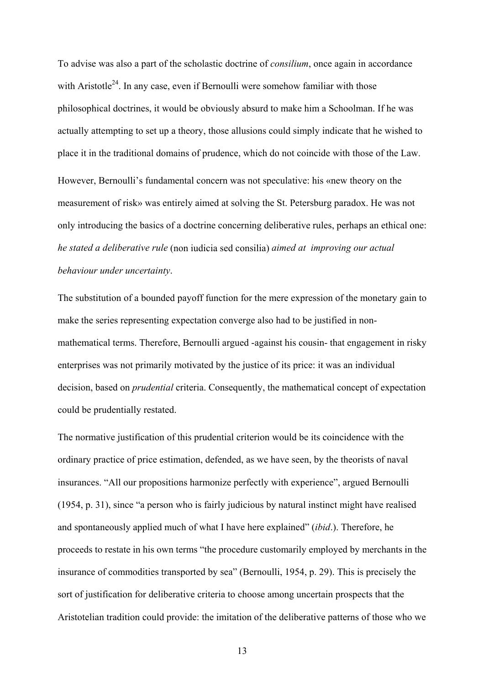To advise was also a part of the scholastic doctrine of *consilium*, once again in accordance with Aristotle<sup>24</sup>. In any case, even if Bernoulli were somehow familiar with those philosophical doctrines, it would be obviously absurd to make him a Schoolman. If he was actually attempting to set up a theory, those allusions could simply indicate that he wished to place it in the traditional domains of prudence, which do not coincide with those of the Law. However, Bernoulli's fundamental concern was not speculative: his «new theory on the measurement of risk» was entirely aimed at solving the St. Petersburg paradox. He was not only introducing the basics of a doctrine concerning deliberative rules, perhaps an ethical one: *he stated a deliberative rule* (non iudicia sed consilia) *aimed at improving our actual behaviour under uncertainty*.

The substitution of a bounded payoff function for the mere expression of the monetary gain to make the series representing expectation converge also had to be justified in nonmathematical terms. Therefore, Bernoulli argued -against his cousin- that engagement in risky enterprises was not primarily motivated by the justice of its price: it was an individual decision, based on *prudential* criteria. Consequently, the mathematical concept of expectation could be prudentially restated.

The normative justification of this prudential criterion would be its coincidence with the ordinary practice of price estimation, defended, as we have seen, by the theorists of naval insurances. "All our propositions harmonize perfectly with experience", argued Bernoulli (1954, p. 31), since "a person who is fairly judicious by natural instinct might have realised and spontaneously applied much of what I have here explained" (*ibid*.). Therefore, he proceeds to restate in his own terms "the procedure customarily employed by merchants in the insurance of commodities transported by sea" (Bernoulli, 1954, p. 29). This is precisely the sort of justification for deliberative criteria to choose among uncertain prospects that the Aristotelian tradition could provide: the imitation of the deliberative patterns of those who we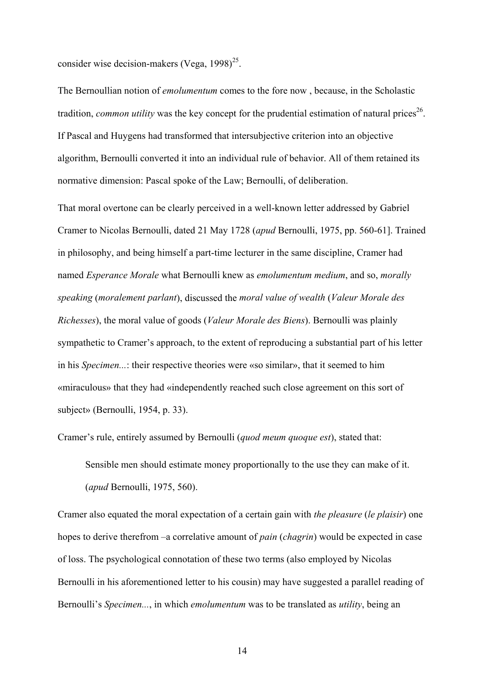consider wise decision-makers (Vega,  $1998$ )<sup>25</sup>.

The Bernoullian notion of *emolumentum* comes to the fore now , because, in the Scholastic tradition, *common utility* was the key concept for the prudential estimation of natural prices<sup>26</sup>. If Pascal and Huygens had transformed that intersubjective criterion into an objective algorithm, Bernoulli converted it into an individual rule of behavior. All of them retained its normative dimension: Pascal spoke of the Law; Bernoulli, of deliberation.

That moral overtone can be clearly perceived in a well-known letter addressed by Gabriel Cramer to Nicolas Bernoulli, dated 21 May 1728 (*apud* Bernoulli, 1975, pp. 560-61]. Trained in philosophy, and being himself a part-time lecturer in the same discipline, Cramer had named *Esperance Morale* what Bernoulli knew as *emolumentum medium*, and so, *morally speaking* (*moralement parlant*), discussed the *moral value of wealth* (*Valeur Morale des Richesses*), the moral value of goods (*Valeur Morale des Biens*). Bernoulli was plainly sympathetic to Cramer's approach, to the extent of reproducing a substantial part of his letter in his *Specimen...*: their respective theories were «so similar», that it seemed to him «miraculous» that they had «independently reached such close agreement on this sort of subject» (Bernoulli, 1954, p. 33).

Cramer's rule, entirely assumed by Bernoulli (*quod meum quoque est*), stated that:

Sensible men should estimate money proportionally to the use they can make of it. (*apud* Bernoulli, 1975, 560).

Cramer also equated the moral expectation of a certain gain with *the pleasure* (*le plaisir*) one hopes to derive therefrom –a correlative amount of *pain* (*chagrin*) would be expected in case of loss. The psychological connotation of these two terms (also employed by Nicolas Bernoulli in his aforementioned letter to his cousin) may have suggested a parallel reading of Bernoulli's *Specimen...*, in which *emolumentum* was to be translated as *utility*, being an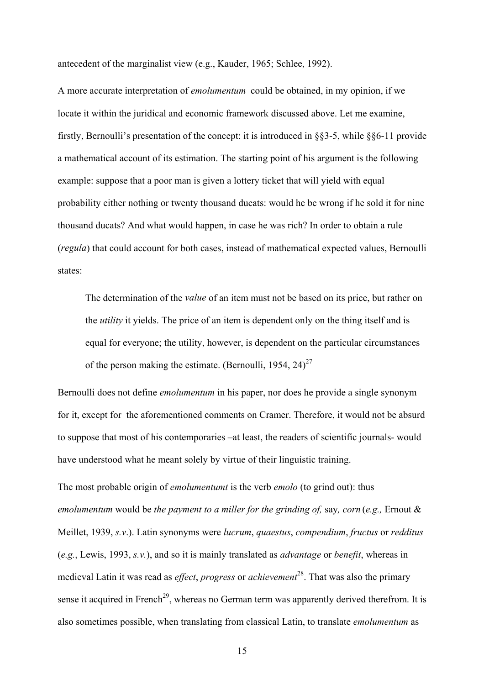antecedent of the marginalist view (e.g., Kauder, 1965; Schlee, 1992).

A more accurate interpretation of *emolumentum* could be obtained, in my opinion, if we locate it within the juridical and economic framework discussed above. Let me examine, firstly, Bernoulli's presentation of the concept: it is introduced in §§3-5, while §§6-11 provide a mathematical account of its estimation. The starting point of his argument is the following example: suppose that a poor man is given a lottery ticket that will yield with equal probability either nothing or twenty thousand ducats: would he be wrong if he sold it for nine thousand ducats? And what would happen, in case he was rich? In order to obtain a rule (*regula*) that could account for both cases, instead of mathematical expected values, Bernoulli states:

The determination of the *value* of an item must not be based on its price, but rather on the *utility* it yields. The price of an item is dependent only on the thing itself and is equal for everyone; the utility, however, is dependent on the particular circumstances of the person making the estimate. (Bernoulli, 1954,  $24$ )<sup>27</sup>

Bernoulli does not define *emolumentum* in his paper, nor does he provide a single synonym for it, except for the aforementioned comments on Cramer. Therefore, it would not be absurd to suppose that most of his contemporaries –at least, the readers of scientific journals- would have understood what he meant solely by virtue of their linguistic training.

The most probable origin of *emolumentumt* is the verb *emolo* (to grind out): thus *emolumentum* would be *the payment to a miller for the grinding of,* say*, corn* (*e.g.,* Ernout & Meillet, 1939, *s.v*.). Latin synonyms were *lucrum*, *quaestus*, *compendium*, *fructus* or *redditus*  (*e.g.*, Lewis, 1993, *s.v.*), and so it is mainly translated as *advantage* or *benefit*, whereas in medieval Latin it was read as *effect*, *progress* or *achievement*28. That was also the primary sense it acquired in French<sup>29</sup>, whereas no German term was apparently derived therefrom. It is also sometimes possible, when translating from classical Latin, to translate *emolumentum* as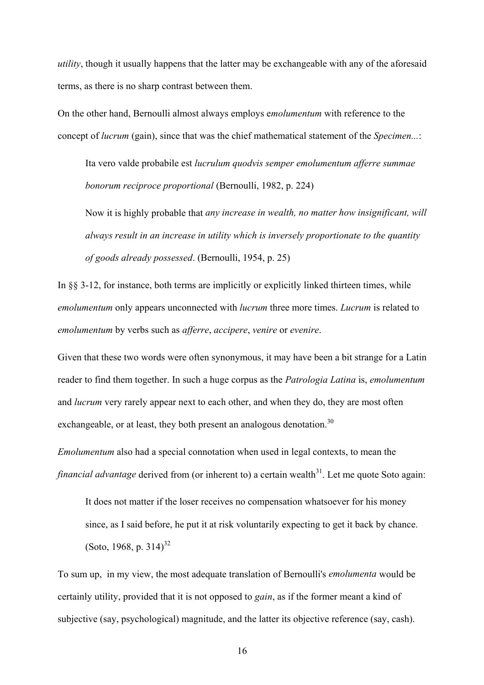*utility*, though it usually happens that the latter may be exchangeable with any of the aforesaid terms, as there is no sharp contrast between them.

On the other hand, Bernoulli almost always employs e*molumentum* with reference to the concept of *lucrum* (gain), since that was the chief mathematical statement of the *Specimen...*:

Ita vero valde probabile est *lucrulum quodvis semper emolumentum afferre summae bonorum reciproce proportional* (Bernoulli, 1982, p. 224)

Now it is highly probable that *any increase in wealth, no matter how insignificant, will always result in an increase in utility which is inversely proportionate to the quantity of goods already possessed*. (Bernoulli, 1954, p. 25)

In  $\S$  3-12, for instance, both terms are implicitly or explicitly linked thirteen times, while *emolumentum* only appears unconnected with *lucrum* three more times. *Lucrum* is related to *emolumentum* by verbs such as *afferre*, *accipere*, *venire* or *evenire*.

Given that these two words were often synonymous, it may have been a bit strange for a Latin reader to find them together. In such a huge corpus as the *Patrologia Latina* is, *emolumentum*  and *lucrum* very rarely appear next to each other, and when they do, they are most often exchangeable, or at least, they both present an analogous denotation.<sup>30</sup>

*Emolumentum* also had a special connotation when used in legal contexts, to mean the *financial advantage* derived from (or inherent to) a certain wealth<sup>31</sup>. Let me quote Soto again:

It does not matter if the loser receives no compensation whatsoever for his money since, as I said before, he put it at risk voluntarily expecting to get it back by chance. (Soto, 1968, p. 314)<sup>32</sup>

To sum up, in my view, the most adequate translation of Bernoulli's *emolumenta* would be certainly utility, provided that it is not opposed to *gain*, as if the former meant a kind of subjective (say, psychological) magnitude, and the latter its objective reference (say, cash).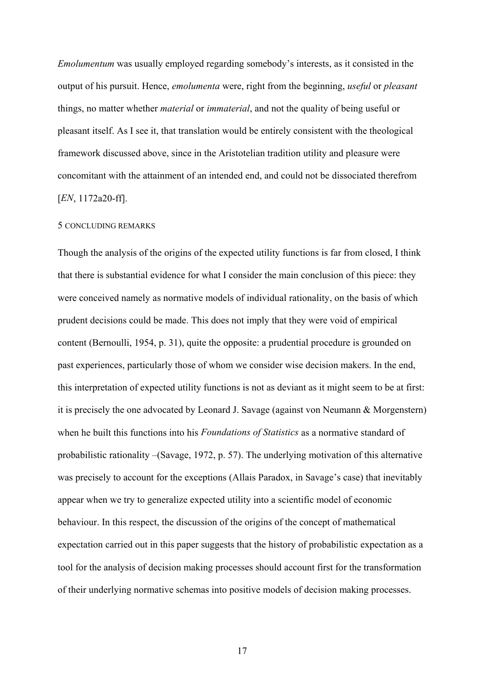*Emolumentum* was usually employed regarding somebody's interests, as it consisted in the output of his pursuit. Hence, *emolumenta* were, right from the beginning, *useful* or *pleasant*  things, no matter whether *material* or *immaterial*, and not the quality of being useful or pleasant itself. As I see it, that translation would be entirely consistent with the theological framework discussed above, since in the Aristotelian tradition utility and pleasure were concomitant with the attainment of an intended end, and could not be dissociated therefrom [*EN*, 1172a20-ff].

## 5 CONCLUDING REMARKS

Though the analysis of the origins of the expected utility functions is far from closed, I think that there is substantial evidence for what I consider the main conclusion of this piece: they were conceived namely as normative models of individual rationality, on the basis of which prudent decisions could be made. This does not imply that they were void of empirical content (Bernoulli, 1954, p. 31), quite the opposite: a prudential procedure is grounded on past experiences, particularly those of whom we consider wise decision makers. In the end, this interpretation of expected utility functions is not as deviant as it might seem to be at first: it is precisely the one advocated by Leonard J. Savage (against von Neumann & Morgenstern) when he built this functions into his *Foundations of Statistics* as a normative standard of probabilistic rationality –(Savage, 1972, p. 57). The underlying motivation of this alternative was precisely to account for the exceptions (Allais Paradox, in Savage's case) that inevitably appear when we try to generalize expected utility into a scientific model of economic behaviour. In this respect, the discussion of the origins of the concept of mathematical expectation carried out in this paper suggests that the history of probabilistic expectation as a tool for the analysis of decision making processes should account first for the transformation of their underlying normative schemas into positive models of decision making processes.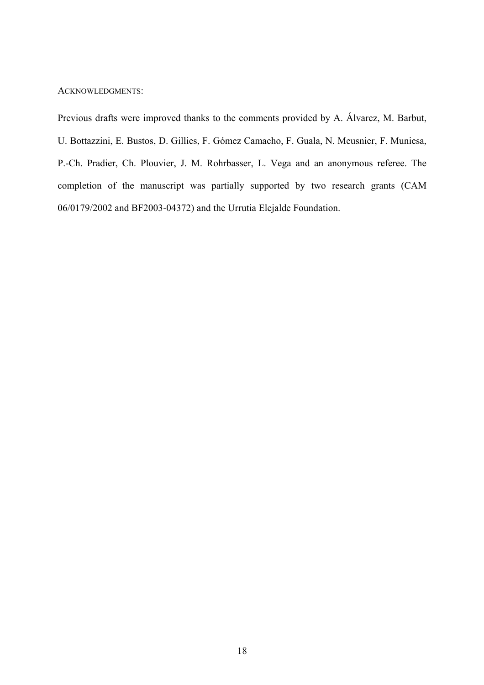## ACKNOWLEDGMENTS:

Previous drafts were improved thanks to the comments provided by A. Álvarez, M. Barbut, U. Bottazzini, E. Bustos, D. Gillies, F. Gómez Camacho, F. Guala, N. Meusnier, F. Muniesa, P.-Ch. Pradier, Ch. Plouvier, J. M. Rohrbasser, L. Vega and an anonymous referee. The completion of the manuscript was partially supported by two research grants (CAM 06/0179/2002 and BF2003-04372) and the Urrutia Elejalde Foundation.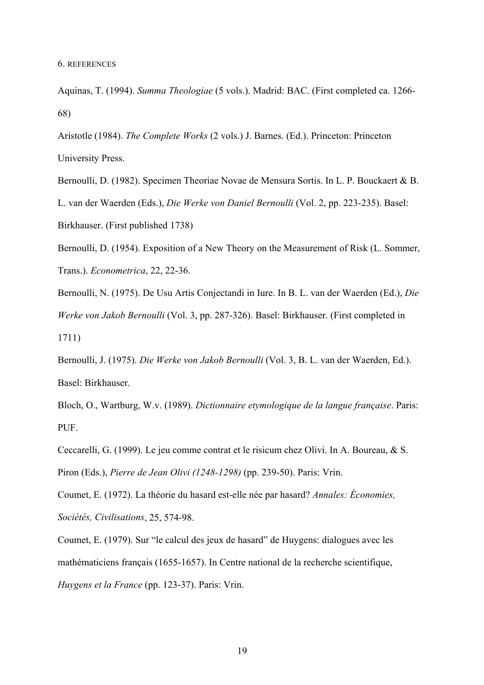Aquinas, T. (1994). *Summa Theologiae* (5 vols.). Madrid: BAC. (First completed ca. 1266- 68)

Aristotle (1984). *The Complete Works* (2 vols.) J. Barnes. (Ed.). Princeton: Princeton University Press.

Bernoulli, D. (1982). Specimen Theoriae Novae de Mensura Sortis. In L. P. Bouckaert & B. L. van der Waerden (Eds.), *Die Werke von Daniel Bernoulli* (Vol. 2, pp. 223-235). Basel: Birkhauser. (First published 1738)

Bernoulli, D. (1954). Exposition of a New Theory on the Measurement of Risk (L. Sommer, Trans.). *Econometrica*, 22, 22-36.

Bernoulli, N. (1975). De Usu Artis Conjectandi in Iure. In B. L. van der Waerden (Ed.), *Die Werke von Jakob Bernoulli* (Vol. 3, pp. 287-326). Basel: Birkhauser. (First completed in 1711)

Bernoulli, J. (1975). *Die Werke von Jakob Bernoulli* (Vol. 3, B. L. van der Waerden, Ed.). Basel: Birkhauser.

Bloch, O., Wartburg, W.v. (1989). *Dictionnaire etymologique de la langue française*. Paris: PUF.

Ceccarelli, G. (1999). Le jeu comme contrat et le risicum chez Olivi. In A. Boureau, & S. Piron (Eds.), *Pierre de Jean Olivi (1248-1298)* (pp. 239-50). Paris: Vrin.

Coumet, E. (1972). La théorie du hasard est-elle née par hasard? *Annales: Économies, Sociétés, Civilisations*, 25, 574-98.

Coumet, E. (1979). Sur "le calcul des jeux de hasard" de Huygens: dialogues avec les mathématiciens français (1655-1657). In Centre national de la recherche scientifique, *Huygens et la France* (pp. 123-37). Paris: Vrin.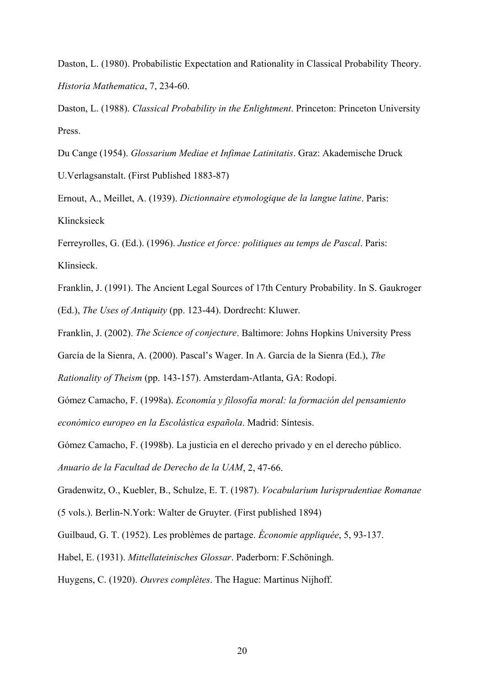Daston, L. (1980). Probabilistic Expectation and Rationality in Classical Probability Theory. *Historia Mathematica*, 7, 234-60.

Daston, L. (1988). *Classical Probability in the Enlightment*. Princeton: Princeton University Press.

Du Cange (1954). *Glossarium Mediae et Infimae Latinitatis*. Graz: Akademische Druck U.Verlagsanstalt. (First Published 1883-87)

Ernout, A., Meillet, A. (1939). *Dictionnaire etymologique de la langue latine*. Paris: Klincksieck

Ferreyrolles, G. (Ed.). (1996). *Justice et force: politiques au temps de Pascal*. Paris: Klinsieck.

Franklin, J. (1991). The Ancient Legal Sources of 17th Century Probability. In S. Gaukroger (Ed.), *The Uses of Antiquity* (pp. 123-44). Dordrecht: Kluwer.

Franklin, J. (2002). *The Science of conjecture*. Baltimore: Johns Hopkins University Press

García de la Sienra, A. (2000). Pascal's Wager. In A. García de la Sienra (Ed.), *The* 

*Rationality of Theism* (pp. 143-157). Amsterdam-Atlanta, GA: Rodopi.

Gómez Camacho, F. (1998a). *Economía y filosofía moral: la formación del pensamiento económico europeo en la Escolástica española*. Madrid: Síntesis.

Gómez Camacho, F. (1998b). La justicia en el derecho privado y en el derecho público.

*Anuario de la Facultad de Derecho de la UAM*, 2, 47-66.

Gradenwitz, O., Kuebler, B., Schulze, E. T. (1987). *Vocabularium Iurisprudentiae Romanae*

(5 vols.). Berlin-N.York: Walter de Gruyter. (First published 1894)

Guilbaud, G. T. (1952). Les problèmes de partage. *Économie appliquée*, 5, 93-137.

Habel, E. (1931). *Mittellateinisches Glossar*. Paderborn: F.Schöningh.

Huygens, C. (1920). *Ouvres complètes*. The Hague: Martinus Nijhoff.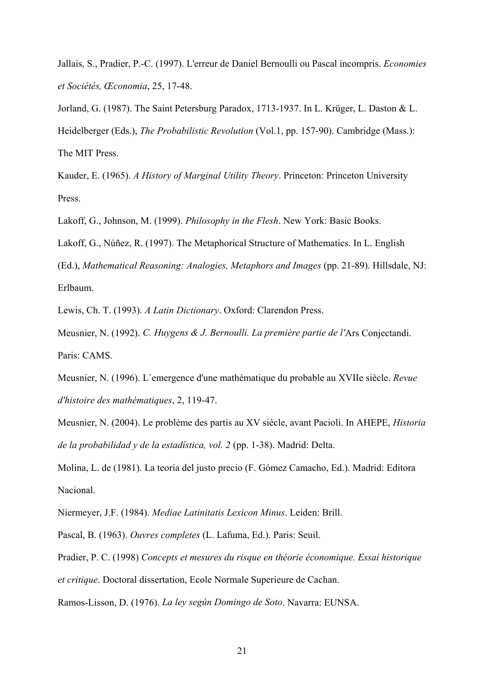Jallais, S., Pradier, P.-C. (1997). L'erreur de Daniel Bernoulli ou Pascal incompris. *Economies et Sociétés, Œconomia*, 25, 17-48.

Jorland, G. (1987). The Saint Petersburg Paradox, 1713-1937. In L. Krüger, L. Daston & L. Heidelberger (Eds.), *The Probabilistic Revolution* (Vol.1, pp. 157-90). Cambridge (Mass.): The MIT Press.

Kauder, E. (1965). *A History of Marginal Utility Theory*. Princeton: Princeton University Press.

Lakoff, G., Johnson, M. (1999). *Philosophy in the Flesh*. New York: Basic Books.

Lakoff, G., Núñez, R. (1997). The Metaphorical Structure of Mathematics. In L. English

(Ed.), *Mathematical Reasoning: Analogies, Metaphors and Images* (pp. 21-89). Hillsdale, NJ: Erlbaum.

Lewis, Ch. T. (1993). *A Latin Dictionary*. Oxford: Clarendon Press.

Meusnier, N. (1992). *C. Huygens & J. Bernoulli. La première partie de l'*Ars Conjectandi. Paris: CAMS.

Meusnier, N. (1996). L´emergence d'une mathématique du probable au XVIIe siècle. *Revue d'histoire des mathématiques*, 2, 119-47.

Meusnier, N. (2004). Le problème des partis au XV siècle, avant Pacioli. In AHEPE, *Historia de la probabilidad y de la estadística, vol. 2* (pp. 1-38). Madrid: Delta.

Molina, L. de (1981). La teoría del justo precio (F. Gómez Camacho, Ed.). Madrid: Editora Nacional.

Niermeyer, J.F. (1984). *Mediae Latinitatis Lexicon Minus*. Leiden: Brill.

Pascal, B. (1963). *Ouvres completes* (L. Lafuma, Ed.). Paris: Seuil.

Pradier, P. C. (1998) *Concepts et mesures du risque en théorie économique. Essai historique et critique*. Doctoral dissertation, Ecole Normale Superieure de Cachan.

Ramos-Lisson, D. (1976). *La ley según Domingo de Soto*. Navarra: EUNSA.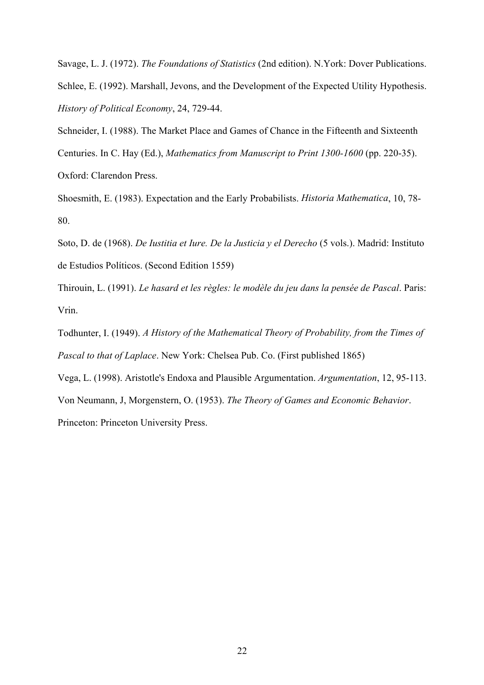Savage, L. J. (1972). *The Foundations of Statistics* (2nd edition). N.York: Dover Publications. Schlee, E. (1992). Marshall, Jevons, and the Development of the Expected Utility Hypothesis. *History of Political Economy*, 24, 729-44.

Schneider, I. (1988). The Market Place and Games of Chance in the Fifteenth and Sixteenth Centuries. In C. Hay (Ed.), *Mathematics from Manuscript to Print 1300-1600* (pp. 220-35). Oxford: Clarendon Press.

Shoesmith, E. (1983). Expectation and the Early Probabilists. *Historia Mathematica*, 10, 78- 80.

Soto, D. de (1968). *De Iustitia et Iure. De la Justicia y el Derecho* (5 vols.). Madrid: Instituto de Estudios Políticos. (Second Edition 1559)

Thirouin, L. (1991). *Le hasard et les règles: le modèle du jeu dans la pensée de Pascal*. Paris: Vrin.

Todhunter, I. (1949). *A History of the Mathematical Theory of Probability, from the Times of Pascal to that of Laplace*. New York: Chelsea Pub. Co. (First published 1865)

Vega, L. (1998). Aristotle's Endoxa and Plausible Argumentation. *Argumentation*, 12, 95-113.

Von Neumann, J, Morgenstern, O. (1953). *The Theory of Games and Economic Behavior*.

Princeton: Princeton University Press.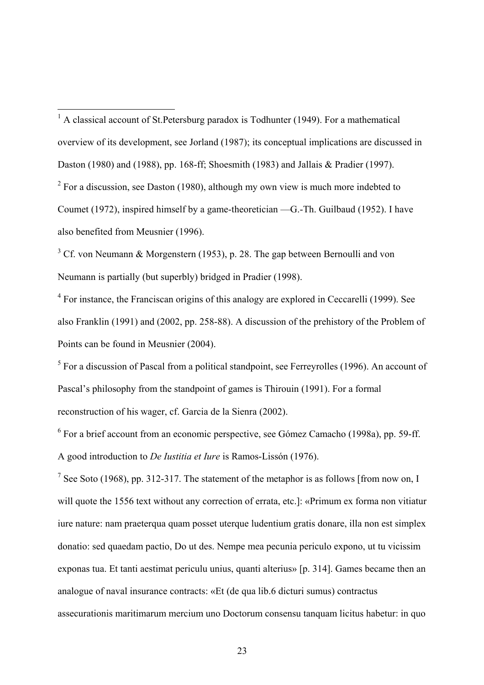$3^3$  Cf. von Neumann & Morgenstern (1953), p. 28. The gap between Bernoulli and von Neumann is partially (but superbly) bridged in Pradier (1998).

 $4$  For instance, the Franciscan origins of this analogy are explored in Ceccarelli (1999). See also Franklin (1991) and (2002, pp. 258-88). A discussion of the prehistory of the Problem of Points can be found in Meusnier (2004).

 $<sup>5</sup>$  For a discussion of Pascal from a political standpoint, see Ferreyrolles (1996). An account of</sup> Pascal's philosophy from the standpoint of games is Thirouin (1991). For a formal reconstruction of his wager, cf. Garcia de la Sienra (2002).

<sup>6</sup> For a brief account from an economic perspective, see Gómez Camacho (1998a), pp. 59-ff. A good introduction to *De Iustitia et Iure* is Ramos-Lissón (1976).

<sup>7</sup> See Soto (1968), pp. 312-317. The statement of the metaphor is as follows [from now on, I will quote the 1556 text without any correction of errata, etc.]: «Primum ex forma non vitiatur iure nature: nam praeterqua quam posset uterque ludentium gratis donare, illa non est simplex donatio: sed quaedam pactio, Do ut des. Nempe mea pecunia periculo expono, ut tu vicissim exponas tua. Et tanti aestimat periculu unius, quanti alterius» [p. 314]. Games became then an analogue of naval insurance contracts: «Et (de qua lib.6 dicturi sumus) contractus assecurationis maritimarum mercium uno Doctorum consensu tanquam licitus habetur: in quo

<sup>&</sup>lt;sup>1</sup> A classical account of St.Petersburg paradox is Todhunter (1949). For a mathematical overview of its development, see Jorland (1987); its conceptual implications are discussed in Daston (1980) and (1988), pp. 168-ff; Shoesmith (1983) and Jallais & Pradier (1997).  $2^2$  For a discussion, see Daston (1980), although my own view is much more indebted to

Coumet (1972), inspired himself by a game-theoretician —G.-Th. Guilbaud (1952). I have also benefited from Meusnier (1996).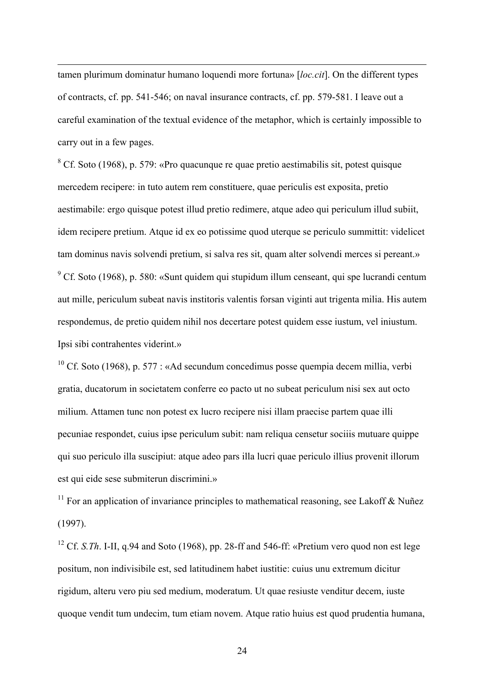tamen plurimum dominatur humano loquendi more fortuna» [*loc.cit*]. On the different types of contracts, cf. pp. 541-546; on naval insurance contracts, cf. pp. 579-581. I leave out a careful examination of the textual evidence of the metaphor, which is certainly impossible to carry out in a few pages.

 $\overline{a}$ 

 $8$  Cf. Soto (1968), p. 579: «Pro quacunque re quae pretio aestimabilis sit, potest quisque mercedem recipere: in tuto autem rem constituere, quae periculis est exposita, pretio aestimabile: ergo quisque potest illud pretio redimere, atque adeo qui periculum illud subiit, idem recipere pretium. Atque id ex eo potissime quod uterque se periculo summittit: videlicet tam dominus navis solvendi pretium, si salva res sit, quam alter solvendi merces si pereant.»  $9^9$  Cf. Soto (1968), p. 580: «Sunt quidem qui stupidum illum censeant, qui spe lucrandi centum aut mille, periculum subeat navis institoris valentis forsan viginti aut trigenta milia. His autem respondemus, de pretio quidem nihil nos decertare potest quidem esse iustum, vel iniustum. Ipsi sibi contrahentes viderint.»

<sup>10</sup> Cf. Soto (1968), p. 577 : «Ad secundum concedimus posse quempia decem millia, verbi gratia, ducatorum in societatem conferre eo pacto ut no subeat periculum nisi sex aut octo milium. Attamen tunc non potest ex lucro recipere nisi illam praecise partem quae illi pecuniae respondet, cuius ipse periculum subit: nam reliqua censetur sociiis mutuare quippe qui suo periculo illa suscipiut: atque adeo pars illa lucri quae periculo illius provenit illorum est qui eide sese submiterun discrimini.»

<sup>11</sup> For an application of invariance principles to mathematical reasoning, see Lakoff  $\&$  Nuñez (1997).

<sup>12</sup> Cf. *S.Th*. I-II, q.94 and Soto (1968), pp. 28-ff and 546-ff: «Pretium vero quod non est lege positum, non indivisibile est, sed latitudinem habet iustitie: cuius unu extremum dicitur rigidum, alteru vero piu sed medium, moderatum. Ut quae resiuste venditur decem, iuste quoque vendit tum undecim, tum etiam novem. Atque ratio huius est quod prudentia humana,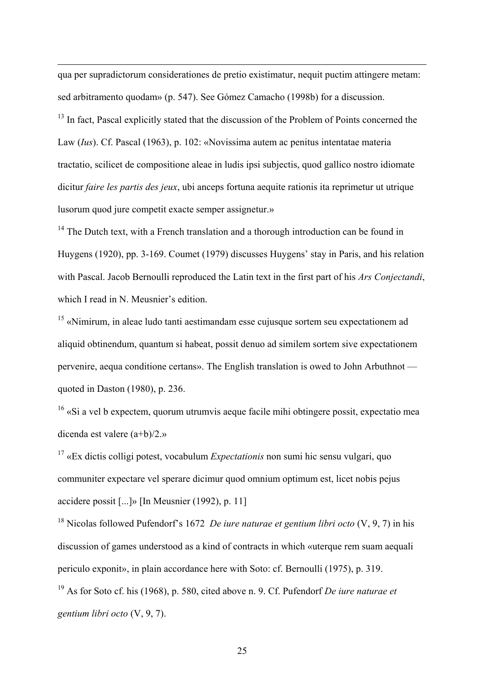qua per supradictorum considerationes de pretio existimatur, nequit puctim attingere metam: sed arbitramento quodam» (p. 547). See Gómez Camacho (1998b) for a discussion.

 $\overline{a}$ 

<sup>13</sup> In fact, Pascal explicitly stated that the discussion of the Problem of Points concerned the Law (*Ius*). Cf. Pascal (1963), p. 102: «Novissima autem ac penitus intentatae materia tractatio, scilicet de compositione aleae in ludis ipsi subjectis, quod gallico nostro idiomate dicitur *faire les partis des jeux*, ubi anceps fortuna aequite rationis ita reprimetur ut utrique lusorum quod jure competit exacte semper assignetur.»

 $14$  The Dutch text, with a French translation and a thorough introduction can be found in Huygens (1920), pp. 3-169. Coumet (1979) discusses Huygens' stay in Paris, and his relation with Pascal. Jacob Bernoulli reproduced the Latin text in the first part of his *Ars Conjectandi*, which I read in N. Meusnier's edition

15 «Nimirum, in aleae ludo tanti aestimandam esse cujusque sortem seu expectationem ad aliquid obtinendum, quantum si habeat, possit denuo ad similem sortem sive expectationem pervenire, aequa conditione certans». The English translation is owed to John Arbuthnot quoted in Daston (1980), p. 236.

<sup>16</sup> «Si a vel b expectem, quorum utrumvis aeque facile mihi obtingere possit, expectatio mea dicenda est valere (a+b)/2.»

17 «Ex dictis colligi potest, vocabulum *Expectationis* non sumi hic sensu vulgari, quo communiter expectare vel sperare dicimur quod omnium optimum est, licet nobis pejus accidere possit [...]» [In Meusnier (1992), p. 11]

18 Nicolas followed Pufendorf's 1672 *De iure naturae et gentium libri octo* (V, 9, 7) in his discussion of games understood as a kind of contracts in which «uterque rem suam aequali periculo exponit», in plain accordance here with Soto: cf. Bernoulli (1975), p. 319. 19 As for Soto cf. his (1968), p. 580, cited above n. 9. Cf. Pufendorf *De iure naturae et gentium libri octo* (V, 9, 7).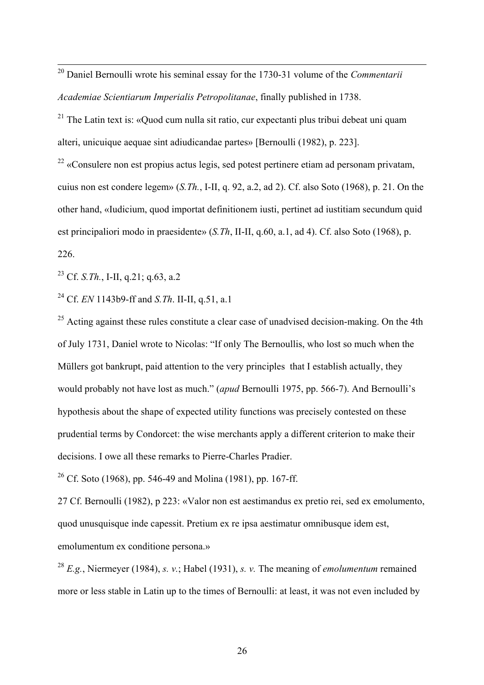20 Daniel Bernoulli wrote his seminal essay for the 1730-31 volume of the *Commentarii Academiae Scientiarum Imperialis Petropolitanae*, finally published in 1738.

<sup>21</sup> The Latin text is: «Quod cum nulla sit ratio, cur expectanti plus tribui debeat uni quam alteri, unicuique aequae sint adiudicandae partes» [Bernoulli (1982), p. 223].

 $22$  «Consulere non est propius actus legis, sed potest pertinere etiam ad personam privatam, cuius non est condere legem» (*S.Th.*, I-II, q. 92, a.2, ad 2). Cf. also Soto (1968), p. 21. On the other hand, «Iudicium, quod importat definitionem iusti, pertinet ad iustitiam secundum quid est principaliori modo in praesidente» (*S.Th*, II-II, q.60, a.1, ad 4). Cf. also Soto (1968), p. 226.

23 Cf. *S.Th.*, I-II, q.21; q.63, a.2

24 Cf. *EN* 1143b9-ff and *S.Th*. II-II, q.51, a.1

 $25$  Acting against these rules constitute a clear case of unadvised decision-making. On the 4th of July 1731, Daniel wrote to Nicolas: "If only The Bernoullis, who lost so much when the Müllers got bankrupt, paid attention to the very principles that I establish actually, they would probably not have lost as much." (*apud* Bernoulli 1975, pp. 566-7). And Bernoulli's hypothesis about the shape of expected utility functions was precisely contested on these prudential terms by Condorcet: the wise merchants apply a different criterion to make their decisions. I owe all these remarks to Pierre-Charles Pradier.

<sup>26</sup> Cf. Soto (1968), pp. 546-49 and Molina (1981), pp. 167-ff.

27 Cf. Bernoulli (1982), p 223: «Valor non est aestimandus ex pretio rei, sed ex emolumento, quod unusquisque inde capessit. Pretium ex re ipsa aestimatur omnibusque idem est, emolumentum ex conditione persona.»

<sup>28</sup> *E.g.*, Niermeyer (1984), *s. v.*; Habel (1931), *s. v.* The meaning of *emolumentum* remained more or less stable in Latin up to the times of Bernoulli: at least, it was not even included by